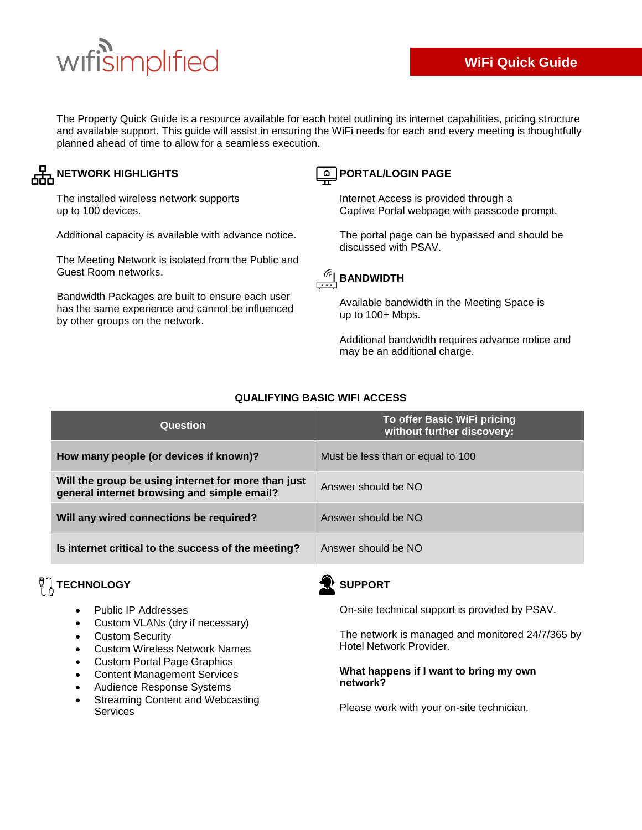# wifisimplified

The Property Quick Guide is a resource available for each hotel outlining its internet capabilities, pricing structure and available support. This guide will assist in ensuring the WiFi needs for each and every meeting is thoughtfully planned ahead of time to allow for a seamless execution.

## **NETWORK HIGHLIGHTS**

The installed wireless network supports up to 100 devices.

Additional capacity is available with advance notice.

The Meeting Network is isolated from the Public and Guest Room networks.

Bandwidth Packages are built to ensure each user has the same experience and cannot be influenced by other groups on the network.

### **PORTAL/LOGIN PAGE**

Internet Access is provided through a Captive Portal webpage with passcode prompt.

The portal page can be bypassed and should be discussed with PSAV.



Available bandwidth in the Meeting Space is up to 100+ Mbps.

Additional bandwidth requires advance notice and may be an additional charge.

| Question                                                                                           | To offer Basic WiFi pricing<br>without further discovery: |
|----------------------------------------------------------------------------------------------------|-----------------------------------------------------------|
| How many people (or devices if known)?                                                             | Must be less than or equal to 100                         |
| Will the group be using internet for more than just<br>general internet browsing and simple email? | Answer should be NO                                       |
| Will any wired connections be required?                                                            | Answer should be NO                                       |
| Is internet critical to the success of the meeting?                                                | Answer should be NO                                       |

#### **QUALIFYING BASIC WIFI ACCESS**

## $\sqrt[{\mathbb{C}}]{\begin{bmatrix} \frac{1}{2} \\ \frac{1}{2} \end{bmatrix}}$  **TECHNOLOGY**

- Public IP Addresses
- Custom VLANs (dry if necessary)
- Custom Security
- Custom Wireless Network Names
- Custom Portal Page Graphics
- Content Management Services
- Audience Response Systems
- Streaming Content and Webcasting Services

## **SUPPORT**

On-site technical support is provided by PSAV.

The network is managed and monitored 24/7/365 by Hotel Network Provider.

#### **What happens if I want to bring my own network?**

Please work with your on-site technician.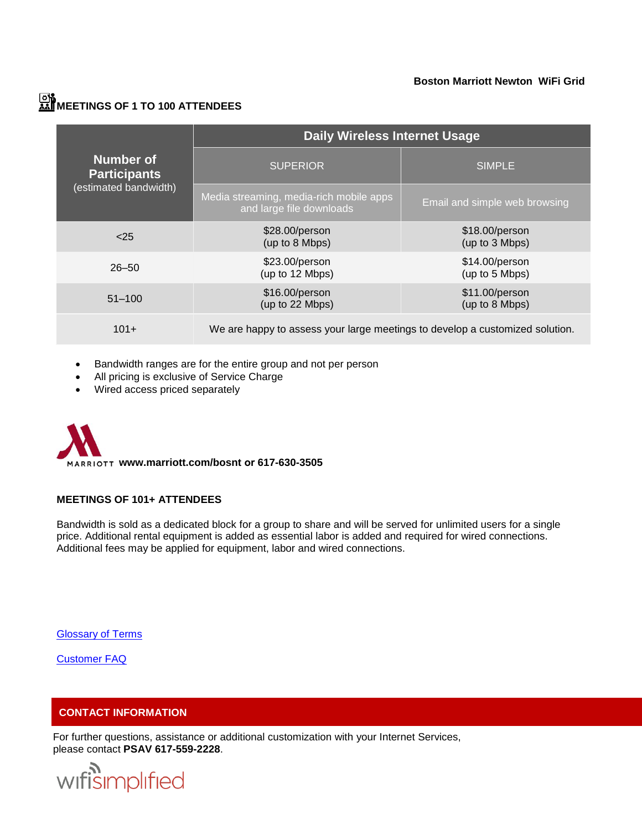#### **Boston Marriott Newton WiFi Grid**

## **MEETINGS OF 1 TO 100 ATTENDEES**

|                                                                  | <b>Daily Wireless Internet Usage</b>                                         |                                  |
|------------------------------------------------------------------|------------------------------------------------------------------------------|----------------------------------|
| <b>Number of</b><br><b>Participants</b><br>(estimated bandwidth) | <b>SUPERIOR</b>                                                              | <b>SIMPLE</b>                    |
|                                                                  | Media streaming, media-rich mobile apps<br>and large file downloads          | Email and simple web browsing    |
| 25                                                               | \$28.00/person<br>(up to 8 Mbps)                                             | \$18.00/person<br>(up to 3 Mbps) |
| $26 - 50$                                                        | \$23.00/person<br>(up to 12 Mbps)                                            | \$14.00/person<br>(up to 5 Mbps) |
| $51 - 100$                                                       | \$16.00/person<br>(up to 22 Mbps)                                            | \$11.00/person<br>(up to 8 Mbps) |
| $101+$                                                           | We are happy to assess your large meetings to develop a customized solution. |                                  |

- Bandwidth ranges are for the entire group and not per person
- All pricing is exclusive of Service Charge
- Wired access priced separately

 **www.marriott.com/bosnt or 617-630-3505**

#### **MEETINGS OF 101+ ATTENDEES**

Bandwidth is sold as a dedicated block for a group to share and will be served for unlimited users for a single price. Additional rental equipment is added as essential labor is added and required for wired connections. Additional fees may be applied for equipment, labor and wired connections.

**[Glossary of Terms](http://issuu.com/globalopsteam/docs/glossary_of_terms.docx)** 

[Customer FAQ](http://issuu.com/globalopsteam/docs/customerfaqs)

#### **CONTACT INFORMATION**

For further questions, assistance or additional customization with your Internet Services, please contact **PSAV 617-559-2228**.